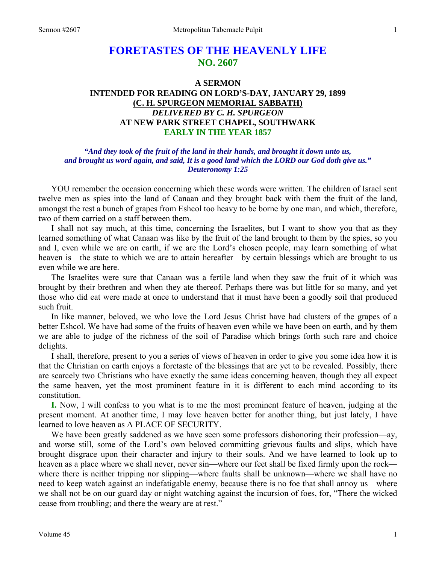# **FORETASTES OF THE HEAVENLY LIFE NO. 2607**

# **A SERMON INTENDED FOR READING ON LORD'S-DAY, JANUARY 29, 1899 (C. H. SPURGEON MEMORIAL SABBATH)**  *DELIVERED BY C. H. SPURGEON*  **AT NEW PARK STREET CHAPEL, SOUTHWARK EARLY IN THE YEAR 1857**

# *"And they took of the fruit of the land in their hands, and brought it down unto us, and brought us word again, and said, It is a good land which the LORD our God doth give us." Deuteronomy 1:25*

YOU remember the occasion concerning which these words were written. The children of Israel sent twelve men as spies into the land of Canaan and they brought back with them the fruit of the land, amongst the rest a bunch of grapes from Eshcol too heavy to be borne by one man, and which, therefore, two of them carried on a staff between them.

 I shall not say much, at this time, concerning the Israelites, but I want to show you that as they learned something of what Canaan was like by the fruit of the land brought to them by the spies, so you and I, even while we are on earth, if we are the Lord's chosen people, may learn something of what heaven is—the state to which we are to attain hereafter—by certain blessings which are brought to us even while we are here.

 The Israelites were sure that Canaan was a fertile land when they saw the fruit of it which was brought by their brethren and when they ate thereof. Perhaps there was but little for so many, and yet those who did eat were made at once to understand that it must have been a goodly soil that produced such fruit.

 In like manner, beloved, we who love the Lord Jesus Christ have had clusters of the grapes of a better Eshcol. We have had some of the fruits of heaven even while we have been on earth, and by them we are able to judge of the richness of the soil of Paradise which brings forth such rare and choice delights.

 I shall, therefore, present to you a series of views of heaven in order to give you some idea how it is that the Christian on earth enjoys a foretaste of the blessings that are yet to be revealed. Possibly, there are scarcely two Christians who have exactly the same ideas concerning heaven, though they all expect the same heaven, yet the most prominent feature in it is different to each mind according to its constitution.

**I.** Now, I will confess to you what is to me the most prominent feature of heaven, judging at the present moment. At another time, I may love heaven better for another thing, but just lately, I have learned to love heaven as A PLACE OF SECURITY.

We have been greatly saddened as we have seen some professors dishonoring their profession—ay, and worse still, some of the Lord's own beloved committing grievous faults and slips, which have brought disgrace upon their character and injury to their souls. And we have learned to look up to heaven as a place where we shall never, never sin—where our feet shall be fixed firmly upon the rock where there is neither tripping nor slipping—where faults shall be unknown—where we shall have no need to keep watch against an indefatigable enemy, because there is no foe that shall annoy us—where we shall not be on our guard day or night watching against the incursion of foes, for, "There the wicked cease from troubling; and there the weary are at rest."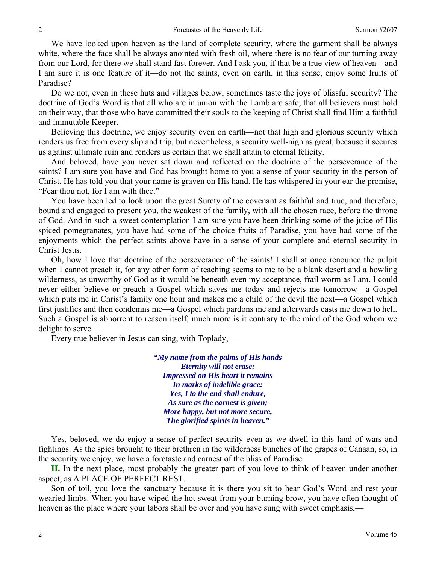We have looked upon heaven as the land of complete security, where the garment shall be always white, where the face shall be always anointed with fresh oil, where there is no fear of our turning away from our Lord, for there we shall stand fast forever. And I ask you, if that be a true view of heaven—and I am sure it is one feature of it—do not the saints, even on earth, in this sense, enjoy some fruits of Paradise?

 Do we not, even in these huts and villages below, sometimes taste the joys of blissful security? The doctrine of God's Word is that all who are in union with the Lamb are safe, that all believers must hold on their way, that those who have committed their souls to the keeping of Christ shall find Him a faithful and immutable Keeper.

 Believing this doctrine, we enjoy security even on earth—not that high and glorious security which renders us free from every slip and trip, but nevertheless, a security well-nigh as great, because it secures us against ultimate ruin and renders us certain that we shall attain to eternal felicity.

 And beloved, have you never sat down and reflected on the doctrine of the perseverance of the saints? I am sure you have and God has brought home to you a sense of your security in the person of Christ. He has told you that your name is graven on His hand. He has whispered in your ear the promise, "Fear thou not, for I am with thee."

 You have been led to look upon the great Surety of the covenant as faithful and true, and therefore, bound and engaged to present you, the weakest of the family, with all the chosen race, before the throne of God. And in such a sweet contemplation I am sure you have been drinking some of the juice of His spiced pomegranates, you have had some of the choice fruits of Paradise, you have had some of the enjoyments which the perfect saints above have in a sense of your complete and eternal security in Christ Jesus.

 Oh, how I love that doctrine of the perseverance of the saints! I shall at once renounce the pulpit when I cannot preach it, for any other form of teaching seems to me to be a blank desert and a howling wilderness, as unworthy of God as it would be beneath even my acceptance, frail worm as I am. I could never either believe or preach a Gospel which saves me today and rejects me tomorrow—a Gospel which puts me in Christ's family one hour and makes me a child of the devil the next—a Gospel which first justifies and then condemns me—a Gospel which pardons me and afterwards casts me down to hell. Such a Gospel is abhorrent to reason itself, much more is it contrary to the mind of the God whom we delight to serve.

Every true believer in Jesus can sing, with Toplady,—

*"My name from the palms of His hands Eternity will not erase; Impressed on His heart it remains In marks of indelible grace: Yes, I to the end shall endure, As sure as the earnest is given; More happy, but not more secure, The glorified spirits in heaven."* 

 Yes, beloved, we do enjoy a sense of perfect security even as we dwell in this land of wars and fightings. As the spies brought to their brethren in the wilderness bunches of the grapes of Canaan, so, in the security we enjoy, we have a foretaste and earnest of the bliss of Paradise.

**II.** In the next place, most probably the greater part of you love to think of heaven under another aspect, as A PLACE OF PERFECT REST.

 Son of toil, you love the sanctuary because it is there you sit to hear God's Word and rest your wearied limbs. When you have wiped the hot sweat from your burning brow, you have often thought of heaven as the place where your labors shall be over and you have sung with sweet emphasis,—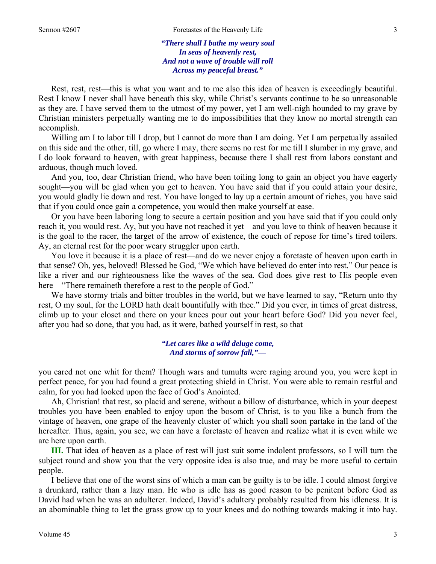*"There shall I bathe my weary soul In seas of heavenly rest, And not a wave of trouble will roll Across my peaceful breast."* 

Rest, rest, rest—this is what you want and to me also this idea of heaven is exceedingly beautiful. Rest I know I never shall have beneath this sky, while Christ's servants continue to be so unreasonable as they are. I have served them to the utmost of my power, yet I am well-nigh hounded to my grave by Christian ministers perpetually wanting me to do impossibilities that they know no mortal strength can accomplish.

Willing am I to labor till I drop, but I cannot do more than I am doing. Yet I am perpetually assailed on this side and the other, till, go where I may, there seems no rest for me till I slumber in my grave, and I do look forward to heaven, with great happiness, because there I shall rest from labors constant and arduous, though much loved.

 And you, too, dear Christian friend, who have been toiling long to gain an object you have eagerly sought—you will be glad when you get to heaven. You have said that if you could attain your desire, you would gladly lie down and rest. You have longed to lay up a certain amount of riches, you have said that if you could once gain a competence, you would then make yourself at ease.

 Or you have been laboring long to secure a certain position and you have said that if you could only reach it, you would rest. Ay, but you have not reached it yet—and you love to think of heaven because it is the goal to the racer, the target of the arrow of existence, the couch of repose for time's tired toilers. Ay, an eternal rest for the poor weary struggler upon earth.

 You love it because it is a place of rest—and do we never enjoy a foretaste of heaven upon earth in that sense? Oh, yes, beloved! Blessed be God, "We which have believed do enter into rest." Our peace is like a river and our righteousness like the waves of the sea. God does give rest to His people even here—"There remaineth therefore a rest to the people of God."

 We have stormy trials and bitter troubles in the world, but we have learned to say, "Return unto thy rest, O my soul, for the LORD hath dealt bountifully with thee." Did you ever, in times of great distress, climb up to your closet and there on your knees pour out your heart before God? Did you never feel, after you had so done, that you had, as it were, bathed yourself in rest, so that—

### *"Let cares like a wild deluge come, And storms of sorrow fall,"—*

you cared not one whit for them? Though wars and tumults were raging around you, you were kept in perfect peace, for you had found a great protecting shield in Christ. You were able to remain restful and calm, for you had looked upon the face of God's Anointed.

 Ah, Christian! that rest, so placid and serene, without a billow of disturbance, which in your deepest troubles you have been enabled to enjoy upon the bosom of Christ, is to you like a bunch from the vintage of heaven, one grape of the heavenly cluster of which you shall soon partake in the land of the hereafter. Thus, again, you see, we can have a foretaste of heaven and realize what it is even while we are here upon earth.

**III.** That idea of heaven as a place of rest will just suit some indolent professors, so I will turn the subject round and show you that the very opposite idea is also true, and may be more useful to certain people.

 I believe that one of the worst sins of which a man can be guilty is to be idle. I could almost forgive a drunkard, rather than a lazy man. He who is idle has as good reason to be penitent before God as David had when he was an adulterer. Indeed, David's adultery probably resulted from his idleness. It is an abominable thing to let the grass grow up to your knees and do nothing towards making it into hay.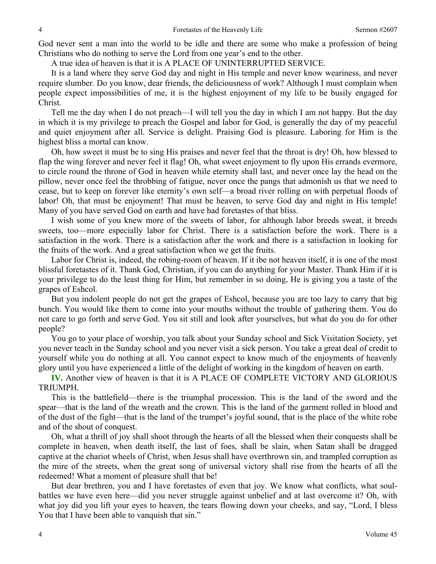God never sent a man into the world to be idle and there are some who make a profession of being Christians who do nothing to serve the Lord from one year's end to the other.

A true idea of heaven is that it is A PLACE OF UNINTERRUPTED SERVICE.

 It is a land where they serve God day and night in His temple and never know weariness, and never require slumber. Do you know, dear friends, the deliciousness of work? Although I must complain when people expect impossibilities of me, it is the highest enjoyment of my life to be busily engaged for Christ.

 Tell me the day when I do not preach—I will tell you the day in which I am not happy. But the day in which it is my privilege to preach the Gospel and labor for God, is generally the day of my peaceful and quiet enjoyment after all. Service is delight. Praising God is pleasure. Laboring for Him is the highest bliss a mortal can know.

 Oh, how sweet it must be to sing His praises and never feel that the throat is dry! Oh, how blessed to flap the wing forever and never feel it flag! Oh, what sweet enjoyment to fly upon His errands evermore, to circle round the throne of God in heaven while eternity shall last, and never once lay the head on the pillow, never once feel the throbbing of fatigue, never once the pangs that admonish us that we need to cease, but to keep on forever like eternity's own self—a broad river rolling on with perpetual floods of labor! Oh, that must be enjoyment! That must be heaven, to serve God day and night in His temple! Many of you have served God on earth and have had foretastes of that bliss.

 I wish some of you knew more of the sweets of labor, for although labor breeds sweat, it breeds sweets, too—more especially labor for Christ. There is a satisfaction before the work. There is a satisfaction in the work. There is a satisfaction after the work and there is a satisfaction in looking for the fruits of the work. And a great satisfaction when we get the fruits.

 Labor for Christ is, indeed, the robing-room of heaven. If it ibe not heaven itself, it is one of the most blissful foretastes of it. Thank God, Christian, if you can do anything for your Master. Thank Him if it is your privilege to do the least thing for Him, but remember in so doing, He is giving you a taste of the grapes of Eshcol.

 But you indolent people do not get the grapes of Eshcol, because you are too lazy to carry that big bunch. You would like them to come into your mouths without the trouble of gathering them. You do not care to go forth and serve God. You sit still and look after yourselves, but what do you do for other people?

 You go to your place of worship, you talk about your Sunday school and Sick Visitation Society, yet you never teach in the Sunday school and you never visit a sick person. You take a great deal of credit to yourself while you do nothing at all. You cannot expect to know much of the enjoyments of heavenly glory until you have experienced a little of the delight of working in the kingdom of heaven on earth.

**IV.** Another view of heaven is that it is A PLACE OF COMPLETE VICTORY AND GLORIOUS TRIUMPH.

 This is the battlefield—there is the triumphal procession. This is the land of the sword and the spear—that is the land of the wreath and the crown. This is the land of the garment rolled in blood and of the dust of the fight—that is the land of the trumpet's joyful sound, that is the place of the white robe and of the shout of conquest.

 Oh, what a thrill of joy shall shoot through the hearts of all the blessed when their conquests shall be complete in heaven, when death itself, the last of foes, shall be slain, when Satan shall be dragged captive at the chariot wheels of Christ, when Jesus shall have overthrown sin, and trampled corruption as the mire of the streets, when the great song of universal victory shall rise from the hearts of all the redeemed! What a moment of pleasure shall that be!

 But dear brethren, you and I have foretastes of even that joy. We know what conflicts, what soulbattles we have even here—did you never struggle against unbelief and at last overcome it? Oh, with what joy did you lift your eyes to heaven, the tears flowing down your cheeks, and say, "Lord, I bless You that I have been able to vanquish that sin."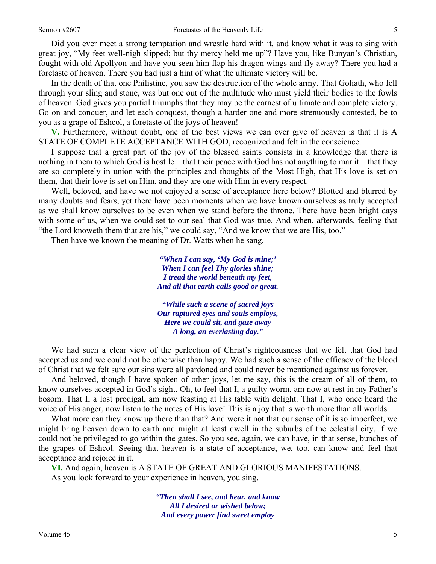Did you ever meet a strong temptation and wrestle hard with it, and know what it was to sing with great joy, "My feet well-nigh slipped; but thy mercy held me up"? Have you, like Bunyan's Christian, fought with old Apollyon and have you seen him flap his dragon wings and fly away? There you had a foretaste of heaven. There you had just a hint of what the ultimate victory will be.

 In the death of that one Philistine, you saw the destruction of the whole army. That Goliath, who fell through your sling and stone, was but one out of the multitude who must yield their bodies to the fowls of heaven. God gives you partial triumphs that they may be the earnest of ultimate and complete victory. Go on and conquer, and let each conquest, though a harder one and more strenuously contested, be to you as a grape of Eshcol, a foretaste of the joys of heaven!

**V.** Furthermore, without doubt, one of the best views we can ever give of heaven is that it is A STATE OF COMPLETE ACCEPTANCE WITH GOD, recognized and felt in the conscience.

 I suppose that a great part of the joy of the blessed saints consists in a knowledge that there is nothing in them to which God is hostile—that their peace with God has not anything to mar it—that they are so completely in union with the principles and thoughts of the Most High, that His love is set on them, that their love is set on Him, and they are one with Him in every respect.

 Well, beloved, and have we not enjoyed a sense of acceptance here below? Blotted and blurred by many doubts and fears, yet there have been moments when we have known ourselves as truly accepted as we shall know ourselves to be even when we stand before the throne. There have been bright days with some of us, when we could set to our seal that God was true. And when, afterwards, feeling that "the Lord knoweth them that are his," we could say, "And we know that we are His, too."

Then have we known the meaning of Dr. Watts when he sang,—

*"When I can say, 'My God is mine;' When I can feel Thy glories shine; I tread the world beneath my feet, And all that earth calls good or great.* 

*"While such a scene of sacred joys Our raptured eyes and souls employs, Here we could sit, and gaze away A long, an everlasting day."* 

 We had such a clear view of the perfection of Christ's righteousness that we felt that God had accepted us and we could not be otherwise than happy. We had such a sense of the efficacy of the blood of Christ that we felt sure our sins were all pardoned and could never be mentioned against us forever.

 And beloved, though I have spoken of other joys, let me say, this is the cream of all of them, to know ourselves accepted in God's sight. Oh, to feel that I, a guilty worm, am now at rest in my Father's bosom. That I, a lost prodigal, am now feasting at His table with delight. That I, who once heard the voice of His anger, now listen to the notes of His love! This is a joy that is worth more than all worlds.

 What more can they know up there than that? And were it not that our sense of it is so imperfect, we might bring heaven down to earth and might at least dwell in the suburbs of the celestial city, if we could not be privileged to go within the gates. So you see, again, we can have, in that sense, bunches of the grapes of Eshcol. Seeing that heaven is a state of acceptance, we, too, can know and feel that acceptance and rejoice in it.

**VI.** And again, heaven is A STATE OF GREAT AND GLORIOUS MANIFESTATIONS. As you look forward to your experience in heaven, you sing,—

> *"Then shall I see, and hear, and know All I desired or wished below; And every power find sweet employ*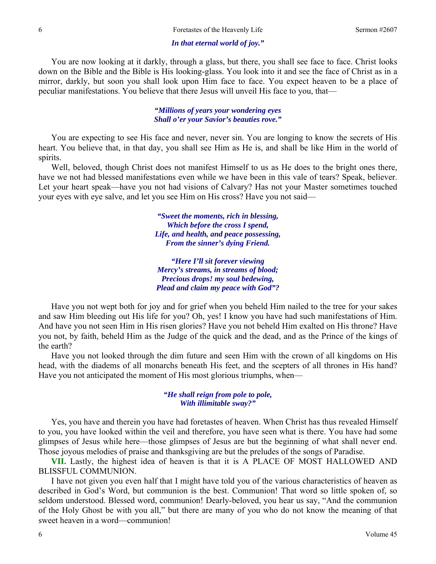#### *In that eternal world of joy."*

 You are now looking at it darkly, through a glass, but there, you shall see face to face. Christ looks down on the Bible and the Bible is His looking-glass. You look into it and see the face of Christ as in a mirror, darkly, but soon you shall look upon Him face to face. You expect heaven to be a place of peculiar manifestations. You believe that there Jesus will unveil His face to you, that—

> *"Millions of years your wondering eyes Shall o'er your Savior's beauties rove."*

 You are expecting to see His face and never, never sin. You are longing to know the secrets of His heart. You believe that, in that day, you shall see Him as He is, and shall be like Him in the world of spirits.

 Well, beloved, though Christ does not manifest Himself to us as He does to the bright ones there, have we not had blessed manifestations even while we have been in this vale of tears? Speak, believer. Let your heart speak—have you not had visions of Calvary? Has not your Master sometimes touched your eyes with eye salve, and let you see Him on His cross? Have you not said—

> *"Sweet the moments, rich in blessing, Which before the cross I spend, Life, and health, and peace possessing, From the sinner's dying Friend.*

*"Here I'll sit forever viewing Mercy's streams, in streams of blood; Precious drops! my soul bedewing, Plead and claim my peace with God"?* 

Have you not wept both for joy and for grief when you beheld Him nailed to the tree for your sakes and saw Him bleeding out His life for you? Oh, yes! I know you have had such manifestations of Him. And have you not seen Him in His risen glories? Have you not beheld Him exalted on His throne? Have you not, by faith, beheld Him as the Judge of the quick and the dead, and as the Prince of the kings of the earth?

 Have you not looked through the dim future and seen Him with the crown of all kingdoms on His head, with the diadems of all monarchs beneath His feet, and the scepters of all thrones in His hand? Have you not anticipated the moment of His most glorious triumphs, when—

#### *"He shall reign from pole to pole, With illimitable sway?"*

 Yes, you have and therein you have had foretastes of heaven. When Christ has thus revealed Himself to you, you have looked within the veil and therefore, you have seen what is there. You have had some glimpses of Jesus while here—those glimpses of Jesus are but the beginning of what shall never end. Those joyous melodies of praise and thanksgiving are but the preludes of the songs of Paradise.

**VII.** Lastly, the highest idea of heaven is that it is A PLACE OF MOST HALLOWED AND BLISSFUL COMMUNION.

 I have not given you even half that I might have told you of the various characteristics of heaven as described in God's Word, but communion is the best. Communion! That word so little spoken of, so seldom understood. Blessed word, communion! Dearly-beloved, you hear us say, "And the communion of the Holy Ghost be with you all," but there are many of you who do not know the meaning of that sweet heaven in a word—communion!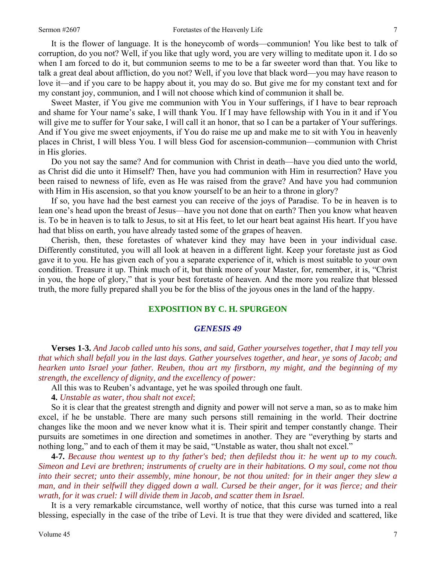It is the flower of language. It is the honeycomb of words—communion! You like best to talk of corruption, do you not? Well, if you like that ugly word, you are very willing to meditate upon it. I do so when I am forced to do it, but communion seems to me to be a far sweeter word than that. You like to talk a great deal about affliction, do you not? Well, if you love that black word—you may have reason to love it—and if you care to be happy about it, you may do so. But give me for my constant text and for my constant joy, communion, and I will not choose which kind of communion it shall be.

 Sweet Master, if You give me communion with You in Your sufferings, if I have to bear reproach and shame for Your name's sake, I will thank You. If I may have fellowship with You in it and if You will give me to suffer for Your sake, I will call it an honor, that so I can be a partaker of Your sufferings. And if You give me sweet enjoyments, if You do raise me up and make me to sit with You in heavenly places in Christ, I will bless You. I will bless God for ascension-communion—communion with Christ in His glories.

 Do you not say the same? And for communion with Christ in death—have you died unto the world, as Christ did die unto it Himself? Then, have you had communion with Him in resurrection? Have you been raised to newness of life, even as He was raised from the grave? And have you had communion with Him in His ascension, so that you know yourself to be an heir to a throne in glory?

 If so, you have had the best earnest you can receive of the joys of Paradise. To be in heaven is to lean one's head upon the breast of Jesus—have you not done that on earth? Then you know what heaven is. To be in heaven is to talk to Jesus, to sit at His feet, to let our heart beat against His heart. If you have had that bliss on earth, you have already tasted some of the grapes of heaven.

 Cherish, then, these foretastes of whatever kind they may have been in your individual case. Differently constituted, you will all look at heaven in a different light. Keep your foretaste just as God gave it to you. He has given each of you a separate experience of it, which is most suitable to your own condition. Treasure it up. Think much of it, but think more of your Master, for, remember, it is, "Christ in you, the hope of glory," that is your best foretaste of heaven. And the more you realize that blessed truth, the more fully prepared shall you be for the bliss of the joyous ones in the land of the happy.

# **EXPOSITION BY C. H. SPURGEON**

# *GENESIS 49*

 **Verses 1-3.** *And Jacob called unto his sons, and said, Gather yourselves together, that I may tell you that which shall befall you in the last days. Gather yourselves together, and hear, ye sons of Jacob; and hearken unto Israel your father. Reuben, thou art my firstborn, my might, and the beginning of my strength, the excellency of dignity, and the excellency of power:* 

All this was to Reuben's advantage, yet he was spoiled through one fault.

**4.** *Unstable as water, thou shalt not excel*;

 So it is clear that the greatest strength and dignity and power will not serve a man, so as to make him excel, if he be unstable. There are many such persons still remaining in the world. Their doctrine changes like the moon and we never know what it is. Their spirit and temper constantly change. Their pursuits are sometimes in one direction and sometimes in another. They are "everything by starts and nothing long," and to each of them it may be said, "Unstable as water, thou shalt not excel."

**4-7.** *Because thou wentest up to thy father's bed; then defiledst thou it: he went up to my couch. Simeon and Levi are brethren; instruments of cruelty are in their habitations. O my soul, come not thou into their secret; unto their assembly, mine honour, be not thou united: for in their anger they slew a man, and in their selfwill they digged down a wall. Cursed be their anger, for it was fierce; and their wrath, for it was cruel: I will divide them in Jacob, and scatter them in Israel.*

 It is a very remarkable circumstance, well worthy of notice, that this curse was turned into a real blessing, especially in the case of the tribe of Levi. It is true that they were divided and scattered, like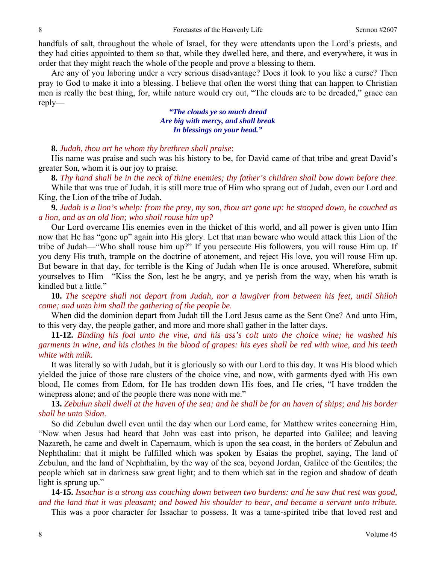handfuls of salt, throughout the whole of Israel, for they were attendants upon the Lord's priests, and they had cities appointed to them so that, while they dwelled here, and there, and everywhere, it was in order that they might reach the whole of the people and prove a blessing to them.

 Are any of you laboring under a very serious disadvantage? Does it look to you like a curse? Then pray to God to make it into a blessing. I believe that often the worst thing that can happen to Christian men is really the best thing, for, while nature would cry out, "The clouds are to be dreaded," grace can reply—

> *"The clouds ye so much dread Are big with mercy, and shall break In blessings on your head."*

# **8.** *Judah, thou art he whom thy brethren shall praise*:

 His name was praise and such was his history to be, for David came of that tribe and great David's greater Son, whom it is our joy to praise.

**8.** *Thy hand shall be in the neck of thine enemies; thy father's children shall bow down before thee*.

While that was true of Judah, it is still more true of Him who sprang out of Judah, even our Lord and King, the Lion of the tribe of Judah.

**9.** *Judah is a lion's whelp: from the prey, my son, thou art gone up: he stooped down, he couched as a lion, and as an old lion; who shall rouse him up?*

 Our Lord overcame His enemies even in the thicket of this world, and all power is given unto Him now that He has "gone up" again into His glory. Let that man beware who would attack this Lion of the tribe of Judah—"Who shall rouse him up?" If you persecute His followers, you will rouse Him up. If you deny His truth, trample on the doctrine of atonement, and reject His love, you will rouse Him up. But beware in that day, for terrible is the King of Judah when He is once aroused. Wherefore, submit yourselves to Him—"Kiss the Son, lest he be angry, and ye perish from the way, when his wrath is kindled but a little."

**10.** *The sceptre shall not depart from Judah, nor a lawgiver from between his feet, until Shiloh come; and unto him shall the gathering of the people be*.

 When did the dominion depart from Judah till the Lord Jesus came as the Sent One? And unto Him, to this very day, the people gather, and more and more shall gather in the latter days.

**11-12.** *Binding his foal unto the vine, and his ass's colt unto the choice wine; he washed his garments in wine, and his clothes in the blood of grapes: his eyes shall be red with wine, and his teeth white with milk.*

 It was literally so with Judah, but it is gloriously so with our Lord to this day. It was His blood which yielded the juice of those rare clusters of the choice vine, and now, with garments dyed with His own blood, He comes from Edom, for He has trodden down His foes, and He cries, "I have trodden the winepress alone; and of the people there was none with me."

**13.** *Zebulun shall dwell at the haven of the sea; and he shall be for an haven of ships; and his border shall be unto Sidon*.

 So did Zebulun dwell even until the day when our Lord came, for Matthew writes concerning Him, "Now when Jesus had heard that John was cast into prison, he departed into Galilee; and leaving Nazareth, he came and dwelt in Capernaum, which is upon the sea coast, in the borders of Zebulun and Nephthalim: that it might be fulfilled which was spoken by Esaias the prophet, saying, The land of Zebulun, and the land of Nephthalim, by the way of the sea, beyond Jordan, Galilee of the Gentiles; the people which sat in darkness saw great light; and to them which sat in the region and shadow of death light is sprung up."

**14-15.** *Issachar is a strong ass couching down between two burdens: and he saw that rest was good, and the land that it was pleasant; and bowed his shoulder to bear, and became a servant unto tribute.*

This was a poor character for Issachar to possess. It was a tame-spirited tribe that loved rest and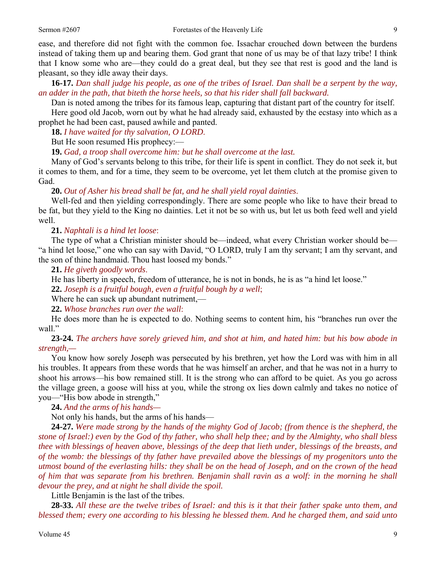ease, and therefore did not fight with the common foe. Issachar crouched down between the burdens instead of taking them up and bearing them. God grant that none of us may be of that lazy tribe! I think that I know some who are—they could do a great deal, but they see that rest is good and the land is pleasant, so they idle away their days.

**16-17.** *Dan shall judge his people, as one of the tribes of Israel. Dan shall be a serpent by the way, an adder in the path, that biteth the horse heels, so that his rider shall fall backward.* 

 Dan is noted among the tribes for its famous leap, capturing that distant part of the country for itself. Here good old Jacob, worn out by what he had already said, exhausted by the ecstasy into which as a prophet he had been cast, paused awhile and panted.

**18.** *I have waited for thy salvation, O LORD*.

But He soon resumed His prophecy:—

**19.** *Gad, a troop shall overcome him: but he shall overcome at the last.* 

 Many of God's servants belong to this tribe, for their life is spent in conflict. They do not seek it, but it comes to them, and for a time, they seem to be overcome, yet let them clutch at the promise given to Gad.

**20.** *Out of Asher his bread shall be fat, and he shall yield royal dainties*.

 Well-fed and then yielding correspondingly. There are some people who like to have their bread to be fat, but they yield to the King no dainties. Let it not be so with us, but let us both feed well and yield well.

**21.** *Naphtali is a hind let loose*:

 The type of what a Christian minister should be—indeed, what every Christian worker should be— "a hind let loose," one who can say with David, "O LORD, truly I am thy servant; I am thy servant, and the son of thine handmaid. Thou hast loosed my bonds."

**21.** *He giveth goodly words*.

He has liberty in speech, freedom of utterance, he is not in bonds, he is as "a hind let loose."

**22.** *Joseph is a fruitful bough, even a fruitful bough by a well*;

Where he can suck up abundant nutriment,—

**22.** *Whose branches run over the wall*:

 He does more than he is expected to do. Nothing seems to content him, his "branches run over the wall."

**23-24.** *The archers have sorely grieved him, and shot at him, and hated him: but his bow abode in strength,—* 

 You know how sorely Joseph was persecuted by his brethren, yet how the Lord was with him in all his troubles. It appears from these words that he was himself an archer, and that he was not in a hurry to shoot his arrows—his bow remained still. It is the strong who can afford to be quiet. As you go across the village green, a goose will hiss at you, while the strong ox lies down calmly and takes no notice of you—"His bow abode in strength,"

**24.** *And the arms of his hands—*

Not only his hands, but the arms of his hands—

**24-27.** *Were made strong by the hands of the mighty God of Jacob; (from thence is the shepherd, the stone of Israel:) even by the God of thy father, who shall help thee; and by the Almighty, who shall bless thee with blessings of heaven above, blessings of the deep that lieth under, blessings of the breasts, and of the womb: the blessings of thy father have prevailed above the blessings of my progenitors unto the utmost bound of the everlasting hills: they shall be on the head of Joseph, and on the crown of the head of him that was separate from his brethren. Benjamin shall ravin as a wolf: in the morning he shall devour the prey, and at night he shall divide the spoil.* 

Little Benjamin is the last of the tribes.

**28-33.** *All these are the twelve tribes of Israel: and this is it that their father spake unto them, and blessed them; every one according to his blessing he blessed them. And he charged them, and said unto*